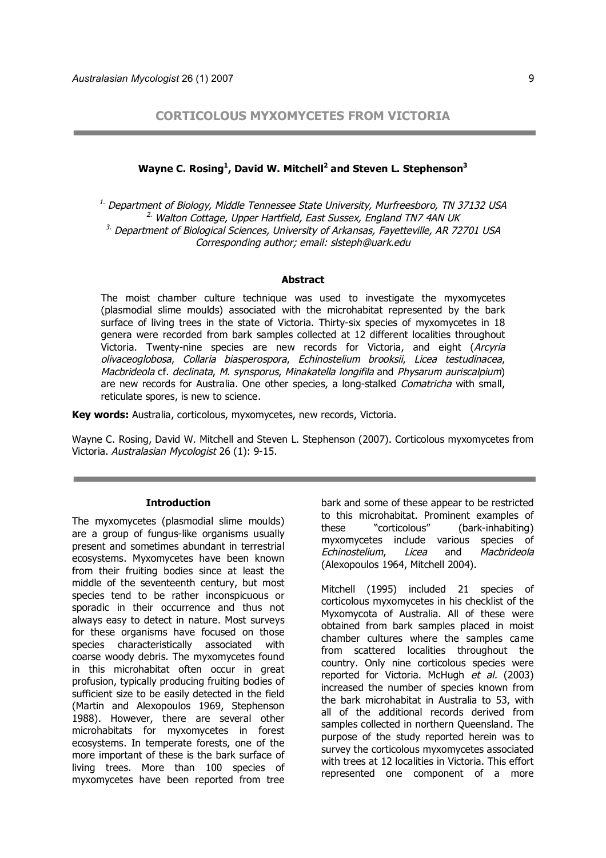**CORTICOLOUS MYXOMYCETES FROM VICTORIA**

# Wayne C. Rosing<sup>1</sup>, David W. Mitchell<sup>2</sup> and Steven L. Stephenson<sup>3</sup>

<sup>1.</sup> Department of Biology, Middle Tennessee State University, Murfreesboro, TN 37132 USA  $2.$  Walton Cottage, Upper Hartfield, East Sussex, England TN7 4AN UK  $3.$  Department of Biological Sciences, University of Arkansas, Fayetteville, AR 72701 USA Corresponding author; email: slsteph@uark.edu

### **Abstract**

The moist chamber culture technique was used to investigate the myxomycetes (plasmodial slime moulds) associated with the microhabitat represented by the bark surface of living trees in the state of Victoria. Thirty-six species of myxomycetes in 18 genera were recorded from bark samples collected at 12 different localities throughout Victoria. Twenty-nine species are new records for Victoria, and eight (Arcyria olivaceoglobosa, Collaria biasperospora, Echinostelium brooksii, Licea testudinacea, Macbrideola cf. declinata, M. synsporus, Minakatella longifila and Physarum auriscalpium) are new records for Australia. One other species, a long-stalked *Comatricha* with small, reticulate spores, is new to science.

**Key words:** Australia, corticolous, myxomycetes, new records, Victoria.

Wayne C. Rosing, David W. Mitchell and Steven L. Stephenson (2007). Corticolous myxomycetes from Victoria. Australasian Mycologist 26 (1): 9-15.

#### **Introduction**

The myxomycetes (plasmodial slime moulds) are a group of fungus-like organisms usually present and sometimes abundant in terrestrial ecosystems. Myxomycetes have been known from their fruiting bodies since at least the middle of the seventeenth century, but most species tend to be rather inconspicuous or sporadic in their occurrence and thus not always easy to detect in nature. Most surveys for these organisms have focused on those species characteristically associated with coarse woody debris. The myxomycetes found in this microhabitat often occur in great profusion, typically producing fruiting bodies of sufficient size to be easily detected in the field (Martin and Alexopoulos 1969, Stephenson 1988). However, there are several other microhabitats for myxomycetes in forest ecosystems. In temperate forests, one of the more important of these is the bark surface of living trees. More than 100 species of myxomycetes have been reported from tree

bark and some of these appear to be restricted to this microhabitat. Prominent examples of these "corticolous" (bark-inhabiting) myxomycetes include various species of Echinostelium, Licea and Macbrideola (Alexopoulos 1964, Mitchell 2004).

Mitchell (1995) included 21 species of corticolous myxomycetes in his checklist of the Myxomycota of Australia. All of these were obtained from bark samples placed in moist chamber cultures where the samples came from scattered localities throughout the country. Only nine corticolous species were reported for Victoria. McHugh et al. (2003) increased the number of species known from the bark microhabitat in Australia to 53, with all of the additional records derived from samples collected in northern Queensland. The purpose of the study reported herein was to survey the corticolous myxomycetes associated with trees at 12 localities in Victoria. This effort represented one component of a more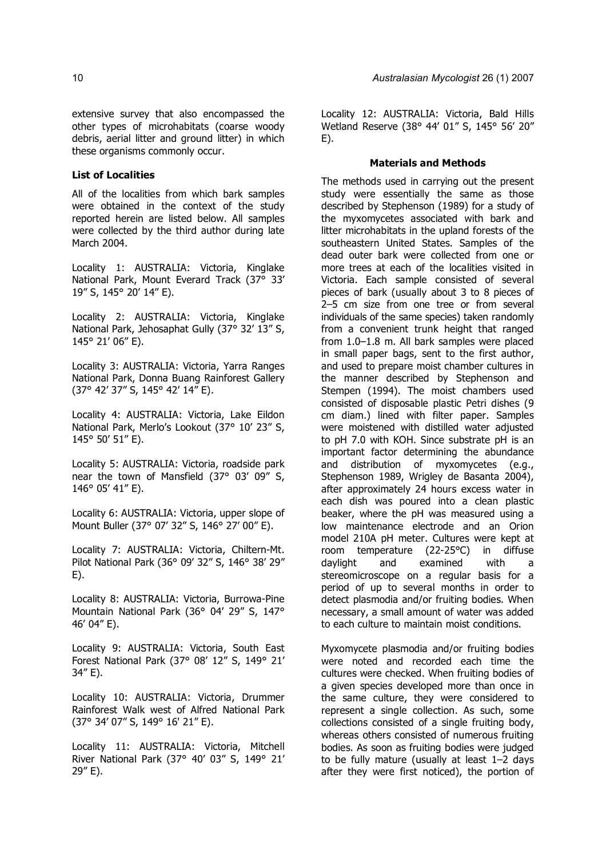extensive survey that also encompassed the other types of microhabitats (coarse woody debris, aerial litter and ground litter) in which these organisms commonly occur.

## **List of Localities**

All of the localities from which bark samples were obtained in the context of the study reported herein are listed below. All samples were collected by the third author during late March 2004.

Locality 1: AUSTRALIA: Victoria, Kinglake National Park, Mount Everard Track (37° 33' 19" S, 145° 20' 14" E).

Locality 2: AUSTRALIA: Victoria, Kinglake National Park, Jehosaphat Gully (37° 32' 13" S, 145° 21' 06" E).

Locality 3: AUSTRALIA: Victoria, Yarra Ranges National Park, Donna Buang Rainforest Gallery (37° 42' 37" S, 145° 42' 14" E).

Locality 4: AUSTRALIA: Victoria, Lake Eildon National Park, Merlo's Lookout (37° 10' 23" S, 145° 50' 51" E).

Locality 5: AUSTRALIA: Victoria, roadside park near the town of Mansfield (37° 03' 09" S, 146° 05' 41" E).

Locality 6: AUSTRALIA: Victoria, upper slope of Mount Buller (37° 07' 32" S, 146° 27' 00" E).

Locality 7: AUSTRALIA: Victoria, Chiltern-Mt. Pilot National Park (36° 09' 32" S, 146° 38' 29" E).

Locality 8: AUSTRALIA: Victoria, Burrowa-Pine Mountain National Park (36° 04' 29" S, 147° 46' 04" E).

Locality 9: AUSTRALIA: Victoria, South East Forest National Park (37° 08' 12" S, 149° 21' 34" E).

Locality 10: AUSTRALIA: Victoria, Drummer Rainforest Walk west of Alfred National Park (37° 34' 07" S, 149° 16' 21" E).

Locality 11: AUSTRALIA: Victoria, Mitchell River National Park (37° 40' 03" S, 149° 21' 29" E).

Locality 12: AUSTRALIA: Victoria, Bald Hills Wetland Reserve (38° 44' 01" S, 145° 56' 20" E).

### **Materials and Methods**

The methods used in carrying out the present study were essentially the same as those described by Stephenson (1989) for a study of the myxomycetes associated with bark and litter microhabitats in the upland forests of the southeastern United States. Samples of the dead outer bark were collected from one or more trees at each of the localities visited in Victoria. Each sample consisted of several pieces of bark (usually about 3 to 8 pieces of 2–5 cm size from one tree or from several individuals of the same species) taken randomly from a convenient trunk height that ranged from 1.0–1.8 m. All bark samples were placed in small paper bags, sent to the first author, and used to prepare moist chamber cultures in the manner described by Stephenson and Stempen (1994). The moist chambers used consisted of disposable plastic Petri dishes (9 cm diam.) lined with filter paper. Samples were moistened with distilled water adjusted to pH 7.0 with KOH. Since substrate pH is an important factor determining the abundance and distribution of myxomycetes (e.g., Stephenson 1989, Wrigley de Basanta 2004), after approximately 24 hours excess water in each dish was poured into a clean plastic beaker, where the pH was measured using a low maintenance electrode and an Orion model 210A pH meter. Cultures were kept at room temperature (22-25°C) in diffuse daylight and examined with a stereomicroscope on a regular basis for a period of up to several months in order to detect plasmodia and/or fruiting bodies. When necessary, a small amount of water was added to each culture to maintain moist conditions.

Myxomycete plasmodia and/or fruiting bodies were noted and recorded each time the cultures were checked. When fruiting bodies of a given species developed more than once in the same culture, they were considered to represent a single collection. As such, some collections consisted of a single fruiting body, whereas others consisted of numerous fruiting bodies. As soon as fruiting bodies were judged to be fully mature (usually at least 1–2 days after they were first noticed), the portion of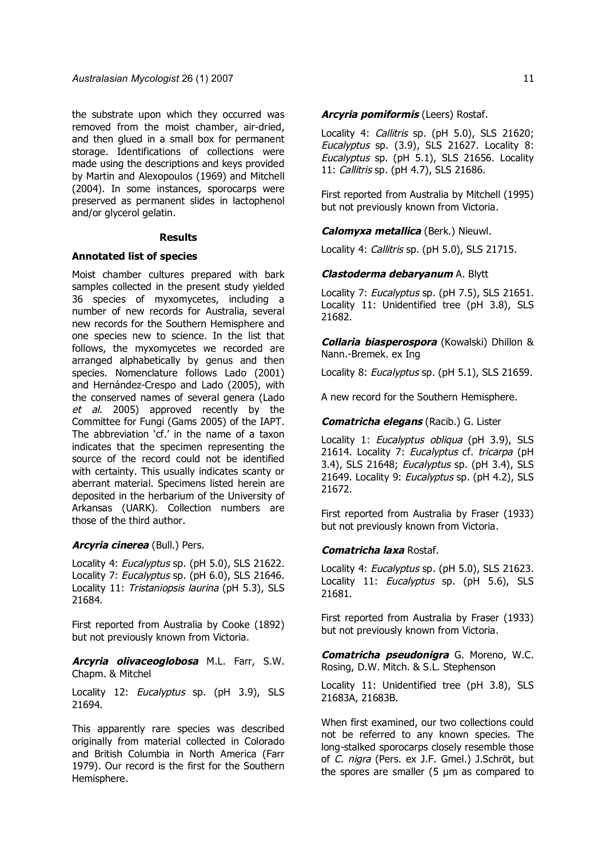the substrate upon which they occurred was removed from the moist chamber, air-dried, and then glued in a small box for permanent storage. Identifications of collections were made using the descriptions and keys provided by Martin and Alexopoulos (1969) and Mitchell (2004). In some instances, sporocarps were preserved as permanent slides in lactophenol and/or glycerol gelatin.

#### **Results**

### **Annotated list of species**

Moist chamber cultures prepared with bark samples collected in the present study yielded 36 species of myxomycetes, including a number of new records for Australia, several new records for the Southern Hemisphere and one species new to science. In the list that follows, the myxomycetes we recorded are arranged alphabetically by genus and then species. Nomenclature follows Lado (2001) and Hernández-Crespo and Lado (2005), with the conserved names of several genera (Lado et al. 2005) approved recently by the Committee for Fungi (Gams 2005) of the IAPT. The abbreviation 'cf.' in the name of a taxon indicates that the specimen representing the source of the record could not be identified with certainty. This usually indicates scanty or aberrant material. Specimens listed herein are deposited in the herbarium of the University of Arkansas (UARK). Collection numbers are those of the third author.

## **Arcyria cinerea** (Bull.) Pers.

Locality 4: Eucalyptus sp. (pH 5.0), SLS 21622. Locality 7: Eucalyptus sp. (pH 6.0), SLS 21646. Locality 11: Tristaniopsis laurina (pH 5.3), SLS 21684.

First reported from Australia by Cooke (1892) but not previously known from Victoria.

**Arcyria olivaceoglobosa** M.L. Farr, S.W. Chapm. & Mitchel

Locality 12: Eucalyptus sp. (pH 3.9), SLS 21694.

This apparently rare species was described originally from material collected in Colorado and British Columbia in North America (Farr 1979). Our record is the first for the Southern Hemisphere.

## **Arcyria pomiformis** (Leers) Rostaf.

Locality 4: Callitris sp. (pH 5.0), SLS 21620; Eucalyptus sp. (3.9), SLS 21627. Locality 8: Eucalyptus sp. (pH 5.1), SLS 21656. Locality 11: Callitris sp. (pH 4.7), SLS 21686.

First reported from Australia by Mitchell (1995) but not previously known from Victoria.

### **Calomyxa metallica** (Berk.) Nieuwl.

Locality 4: Callitris sp. (pH 5.0), SLS 21715.

### **Clastoderma debaryanum** A. Blytt

Locality 7: Eucalyptus sp. (pH 7.5), SLS 21651. Locality 11: Unidentified tree (pH 3.8), SLS 21682.

**Collaria biasperospora** (Kowalski) Dhillon & Nann.-Bremek. ex Ing

Locality 8: Eucalyptus sp. (pH 5.1), SLS 21659.

A new record for the Southern Hemisphere.

## **Comatricha elegans** (Racib.) G. Lister

Locality 1: Eucalyptus obliqua (pH 3.9), SLS 21614. Locality 7: Eucalyptus cf. tricarpa (pH 3.4), SLS 21648; Eucalyptus sp. (pH 3.4), SLS 21649. Locality 9: Eucalyptus sp. (pH 4.2), SLS 21672.

First reported from Australia by Fraser (1933) but not previously known from Victoria.

#### **Comatricha laxa** Rostaf.

Locality 4: *Eucalyptus* sp. (pH 5.0), SLS 21623. Locality 11: Eucalyptus sp. (pH 5.6), SLS 21681.

First reported from Australia by Fraser (1933) but not previously known from Victoria.

**Comatricha pseudonigra** G. Moreno, W.C. Rosing, D.W. Mitch. & S.L. Stephenson

Locality 11: Unidentified tree (pH 3.8), SLS 21683A, 21683B.

When first examined, our two collections could not be referred to any known species. The long-stalked sporocarps closely resemble those of C. nigra (Pers. ex J.F. Gmel.) J.Schröt, but the spores are smaller (5 µm as compared to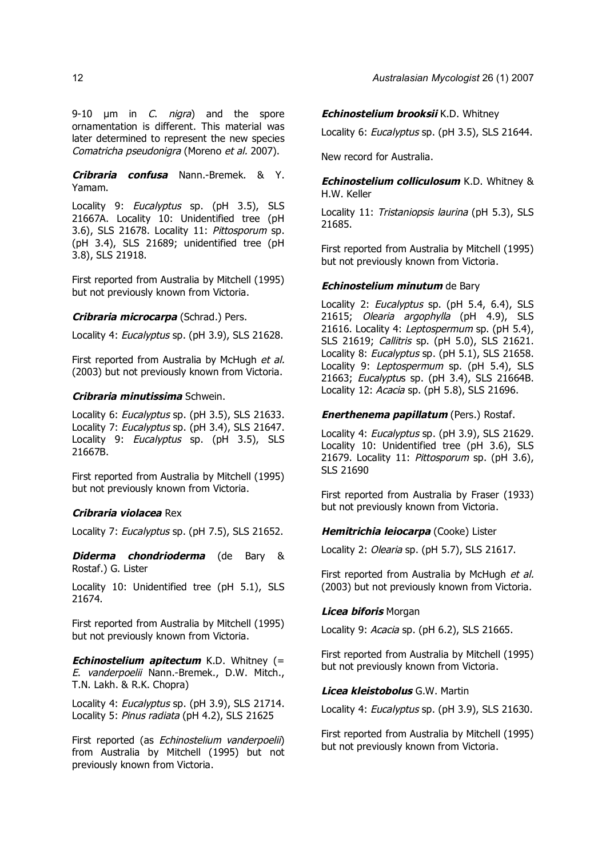9-10  $\mu$ m in *C. nigra*) and the spore ornamentation is different. This material was later determined to represent the new species Comatricha pseudonigra (Moreno et al. 2007).

**Cribraria confusa** Nann.-Bremek. & Y. Yamam.

Locality 9: Eucalyptus sp. (pH 3.5), SLS 21667A. Locality 10: Unidentified tree (pH 3.6), SLS 21678. Locality 11: Pittosporum sp. (pH 3.4), SLS 21689; unidentified tree (pH 3.8), SLS 21918.

First reported from Australia by Mitchell (1995) but not previously known from Victoria.

## **Cribraria microcarpa** (Schrad.) Pers.

Locality 4: Eucalyptus sp. (pH 3.9), SLS 21628.

First reported from Australia by McHugh *et al.* (2003) but not previously known from Victoria.

## **Cribraria minutissima** Schwein.

Locality 6: Eucalyptus sp. (pH 3.5), SLS 21633. Locality 7: Eucalyptus sp. (pH 3.4), SLS 21647. Locality 9: Eucalyptus sp. (pH 3.5), SLS 21667B.

First reported from Australia by Mitchell (1995) but not previously known from Victoria.

### **Cribraria violacea** Rex

Locality 7: Eucalyptus sp. (pH 7.5), SLS 21652.

**Diderma chondrioderma** (de Bary & Rostaf.) G. Lister

Locality 10: Unidentified tree (pH 5.1), SLS 21674.

First reported from Australia by Mitchell (1995) but not previously known from Victoria.

*Echinostelium apitectum* K.D. Whitney (= E. vanderpoelii Nann.-Bremek., D.W. Mitch., T.N. Lakh. & R.K. Chopra)

Locality 4: Eucalyptus sp. (pH 3.9), SLS 21714. Locality 5: Pinus radiata (pH 4.2), SLS 21625

First reported (as Echinostelium vanderpoelii) from Australia by Mitchell (1995) but not previously known from Victoria.

### **Echinostelium brooksii** K.D. Whitney

Locality 6: Eucalyptus sp. (pH 3.5), SLS 21644.

New record for Australia.

**Echinostelium colliculosum** K.D. Whitney & H.W. Keller

Locality 11: Tristaniopsis laurina (pH 5.3), SLS 21685.

First reported from Australia by Mitchell (1995) but not previously known from Victoria.

### **Echinostelium minutum** de Bary

Locality 2: Eucalyptus sp. (pH 5.4, 6.4), SLS 21615; Olearia argophylla (pH 4.9), SLS 21616. Locality 4: Leptospermum sp. (pH 5.4), SLS 21619; Callitris sp. (pH 5.0), SLS 21621. Locality 8: Eucalyptus sp. (pH 5.1), SLS 21658. Locality 9: Leptospermum sp. (pH 5.4), SLS 21663; Eucalyptus sp. (pH 3.4), SLS 21664B. Locality 12: Acacia sp. (pH 5.8), SLS 21696.

### **Enerthenema papillatum** (Pers.) Rostaf.

Locality 4: Eucalyptus sp. (pH 3.9), SLS 21629. Locality 10: Unidentified tree (pH 3.6), SLS 21679. Locality 11: Pittosporum sp. (pH 3.6), SLS 21690

First reported from Australia by Fraser (1933) but not previously known from Victoria.

## **Hemitrichia leiocarpa** (Cooke) Lister

Locality 2: Olearia sp. (pH 5.7), SLS 21617.

First reported from Australia by McHugh et al. (2003) but not previously known from Victoria.

#### **Licea biforis** Morgan

Locality 9: Acacia sp. (pH 6.2), SLS 21665.

First reported from Australia by Mitchell (1995) but not previously known from Victoria.

## **Licea kleistobolus** G.W. Martin

Locality 4: Eucalyptus sp. (pH 3.9), SLS 21630.

First reported from Australia by Mitchell (1995) but not previously known from Victoria.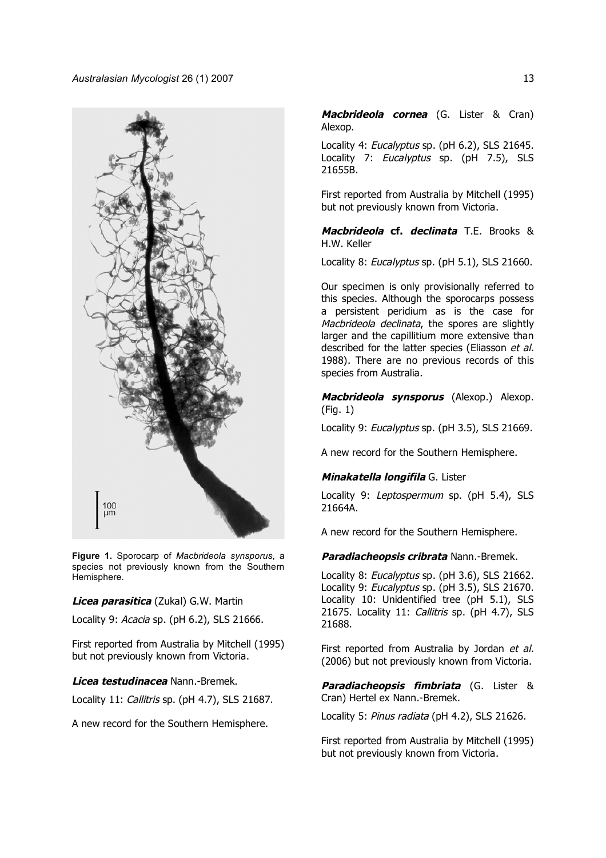

**Figure 1.** Sporocarp of *Macbrideola synsporus*, a species not previously known from the Southern Hemisphere.

### **Licea parasitica** (Zukal) G.W. Martin

Locality 9: Acacia sp. (pH 6.2), SLS 21666.

First reported from Australia by Mitchell (1995) but not previously known from Victoria.

#### **Licea testudinacea** Nann.-Bremek.

Locality 11: Callitris sp. (pH 4.7), SLS 21687.

A new record for the Southern Hemisphere.

**Macbrideola cornea** (G. Lister & Cran) Alexop.

Locality 4: Eucalyptus sp. (pH 6.2), SLS 21645. Locality 7: Eucalyptus sp. (pH 7.5), SLS 21655B.

First reported from Australia by Mitchell (1995) but not previously known from Victoria.

**Macbrideola cf. declinata** T.E. Brooks & H.W. Keller

Locality 8: Eucalyptus sp. (pH 5.1), SLS 21660.

Our specimen is only provisionally referred to this species. Although the sporocarps possess a persistent peridium as is the case for Macbrideola declinata, the spores are slightly larger and the capillitium more extensive than described for the latter species (Eliasson et al. 1988). There are no previous records of this species from Australia.

**Macbrideola synsporus** (Alexop.) Alexop. (Fig. 1)

Locality 9: Eucalyptus sp. (pH 3.5), SLS 21669.

A new record for the Southern Hemisphere.

#### **Minakatella longifila** G. Lister

Locality 9: Leptospermum sp. (pH 5.4), SLS 21664A.

A new record for the Southern Hemisphere.

## **Paradiacheopsis cribrata** Nann.-Bremek.

Locality 8: Eucalyptus sp. (pH 3.6), SLS 21662. Locality 9: Eucalyptus sp. (pH 3.5), SLS 21670. Locality 10: Unidentified tree (pH 5.1), SLS 21675. Locality 11: Callitris sp. (pH 4.7), SLS 21688.

First reported from Australia by Jordan et al. (2006) but not previously known from Victoria.

**Paradiacheopsis fimbriata** (G. Lister & Cran) Hertel ex Nann.-Bremek.

Locality 5: Pinus radiata (pH 4.2), SLS 21626.

First reported from Australia by Mitchell (1995) but not previously known from Victoria.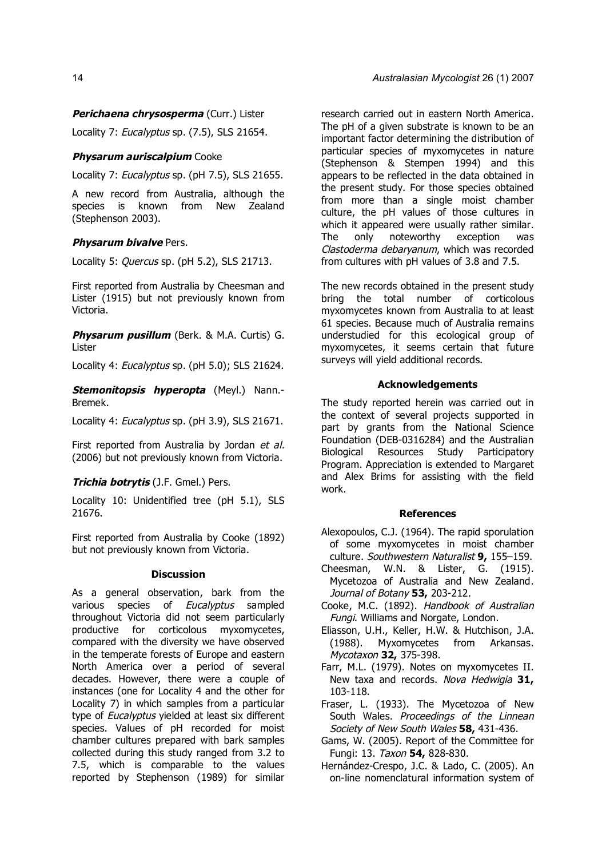## **Perichaena chrysosperma** (Curr.) Lister

Locality 7: Eucalyptus sp. (7.5), SLS 21654.

## **Physarum auriscalpium** Cooke

Locality 7: Eucalyptus sp. (pH 7.5), SLS 21655.

A new record from Australia, although the species is known from New Zealand (Stephenson 2003).

### **Physarum bivalve** Pers.

Locality 5: Quercus sp. (pH 5.2), SLS 21713.

First reported from Australia by Cheesman and Lister (1915) but not previously known from Victoria.

**Physarum pusillum** (Berk. & M.A. Curtis) G. Lister

Locality 4: Eucalyptus sp. (pH 5.0): SLS 21624.

**Stemonitopsis hyperopta** (Meyl.) Nann.- Bremek.

Locality 4: Eucalyptus sp. (pH 3.9), SLS 21671.

First reported from Australia by Jordan et al. (2006) but not previously known from Victoria.

### **Trichia botrytis** (J.F. Gmel.) Pers.

Locality 10: Unidentified tree (pH 5.1), SLS 21676.

First reported from Australia by Cooke (1892) but not previously known from Victoria.

### **Discussion**

As a general observation, bark from the various species of Eucalyptus sampled throughout Victoria did not seem particularly productive for corticolous myxomycetes, compared with the diversity we have observed in the temperate forests of Europe and eastern North America over a period of several decades. However, there were a couple of instances (one for Locality 4 and the other for Locality 7) in which samples from a particular type of *Eucalyptus* yielded at least six different species. Values of pH recorded for moist chamber cultures prepared with bark samples collected during this study ranged from 3.2 to 7.5, which is comparable to the values reported by Stephenson (1989) for similar

research carried out in eastern North America. The pH of a given substrate is known to be an important factor determining the distribution of particular species of myxomycetes in nature (Stephenson & Stempen 1994) and this appears to be reflected in the data obtained in the present study. For those species obtained from more than a single moist chamber culture, the pH values of those cultures in which it appeared were usually rather similar. The only noteworthy exception was Clastoderma debaryanum, which was recorded from cultures with pH values of 3.8 and 7.5.

The new records obtained in the present study bring the total number of corticolous myxomycetes known from Australia to at least 61 species. Because much of Australia remains understudied for this ecological group of myxomycetes, it seems certain that future surveys will yield additional records.

## **Acknowledgements**

The study reported herein was carried out in the context of several projects supported in part by grants from the National Science Foundation (DEB-0316284) and the Australian Biological Resources Study Participatory Program. Appreciation is extended to Margaret and Alex Brims for assisting with the field work.

#### **References**

- Alexopoulos, C.J. (1964). The rapid sporulation of some myxomycetes in moist chamber culture. Southwestern Naturalist **9,** 155–159.
- Cheesman, W.N. & Lister, G. (1915). Mycetozoa of Australia and New Zealand. Journal of Botany **53,** 203-212.
- Cooke, M.C. (1892). Handbook of Australian Fungi. Williams and Norgate, London.
- Eliasson, U.H., Keller, H.W. & Hutchison, J.A. (1988). Myxomycetes from Arkansas. Mycotaxon **32,** 375-398.
- Farr, M.L. (1979). Notes on myxomycetes II. New taxa and records. Nova Hedwigia **31,** 103-118.
- Fraser, L. (1933). The Mycetozoa of New South Wales. Proceedings of the Linnean Society of New South Wales **58,** 431-436.
- Gams, W. (2005). Report of the Committee for Fungi: 13. Taxon **54,** 828-830.
- Hernández-Crespo, J.C. & Lado, C. (2005). An on-line nomenclatural information system of